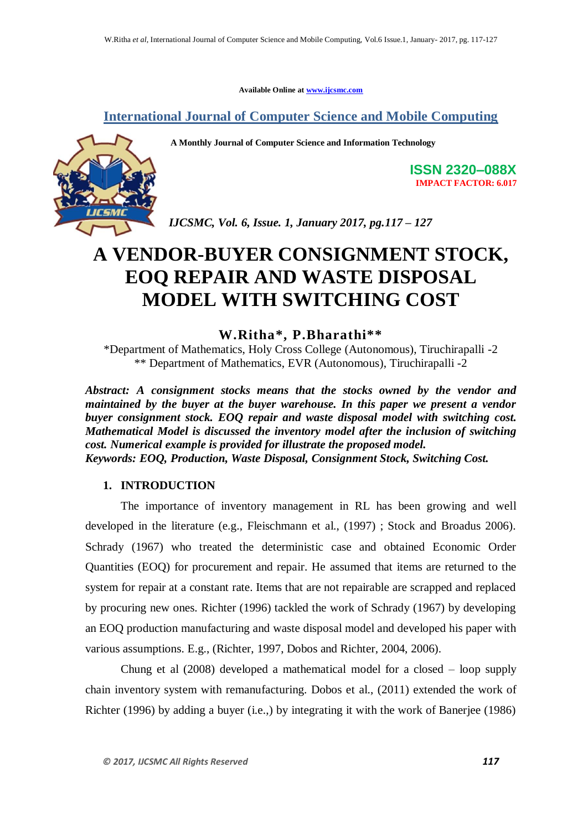**Available Online at www.ijcsmc.com**

**International Journal of Computer Science and Mobile Computing**



 **A Monthly Journal of Computer Science and Information Technology**

**ISSN 2320–088X IMPACT FACTOR: 6.017**

*IJCSMC, Vol. 6, Issue. 1, January 2017, pg.117 – 127*

# **A VENDOR-BUYER CONSIGNMENT STOCK, EOQ REPAIR AND WASTE DISPOSAL MODEL WITH SWITCHING COST**

**W.Ritha\* , P.Bharathi\*\***

\*Department of Mathematics, Holy Cross College (Autonomous), Tiruchirapalli -2 \*\* Department of Mathematics, EVR (Autonomous), Tiruchirapalli -2

*Abstract: A consignment stocks means that the stocks owned by the vendor and maintained by the buyer at the buyer warehouse. In this paper we present a vendor buyer consignment stock. EOQ repair and waste disposal model with switching cost. Mathematical Model is discussed the inventory model after the inclusion of switching cost. Numerical example is provided for illustrate the proposed model. Keywords: EOQ, Production, Waste Disposal, Consignment Stock, Switching Cost.*

### **1. INTRODUCTION**

The importance of inventory management in RL has been growing and well developed in the literature (e.g., Fleischmann et al., (1997) ; Stock and Broadus 2006). Schrady (1967) who treated the deterministic case and obtained Economic Order Quantities (EOQ) for procurement and repair. He assumed that items are returned to the system for repair at a constant rate. Items that are not repairable are scrapped and replaced by procuring new ones. Richter (1996) tackled the work of Schrady (1967) by developing an EOQ production manufacturing and waste disposal model and developed his paper with various assumptions. E.g., (Richter, 1997, Dobos and Richter, 2004, 2006).

Chung et al (2008) developed a mathematical model for a closed – loop supply chain inventory system with remanufacturing. Dobos et al., (2011) extended the work of Richter (1996) by adding a buyer (i.e.,) by integrating it with the work of Banerjee (1986)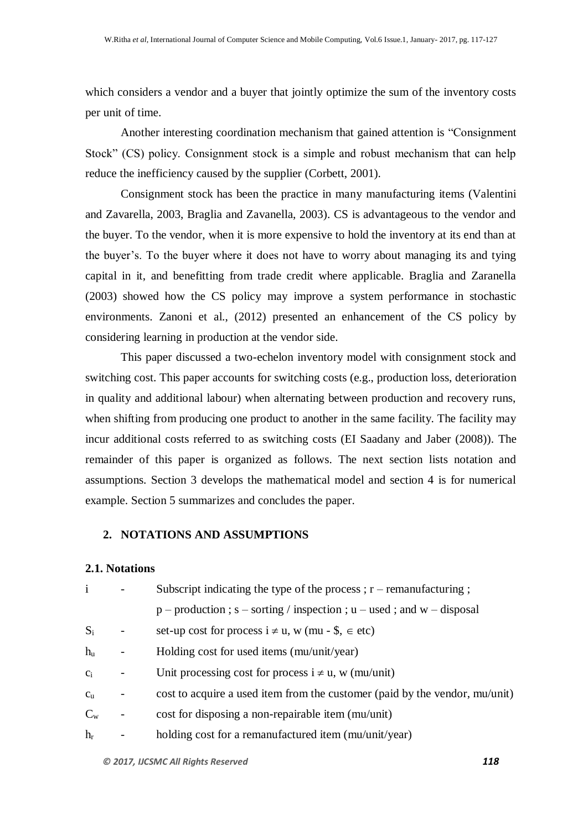which considers a vendor and a buyer that jointly optimize the sum of the inventory costs per unit of time.

Another interesting coordination mechanism that gained attention is "Consignment Stock" (CS) policy. Consignment stock is a simple and robust mechanism that can help reduce the inefficiency caused by the supplier (Corbett, 2001).

Consignment stock has been the practice in many manufacturing items (Valentini and Zavarella, 2003, Braglia and Zavanella, 2003). CS is advantageous to the vendor and the buyer. To the vendor, when it is more expensive to hold the inventory at its end than at the buyer"s. To the buyer where it does not have to worry about managing its and tying capital in it, and benefitting from trade credit where applicable. Braglia and Zaranella (2003) showed how the CS policy may improve a system performance in stochastic environments. Zanoni et al., (2012) presented an enhancement of the CS policy by considering learning in production at the vendor side.

This paper discussed a two-echelon inventory model with consignment stock and switching cost. This paper accounts for switching costs (e.g., production loss, deterioration in quality and additional labour) when alternating between production and recovery runs, when shifting from producing one product to another in the same facility. The facility may incur additional costs referred to as switching costs (EI Saadany and Jaber (2008)). The remainder of this paper is organized as follows. The next section lists notation and assumptions. Section 3 develops the mathematical model and section 4 is for numerical example. Section 5 summarizes and concludes the paper.

### **2. NOTATIONS AND ASSUMPTIONS**

### **2.1. Notations**

|             | Subscript indicating the type of the process; $r$ – remanufacturing;         |
|-------------|------------------------------------------------------------------------------|
|             | $p$ – production; $s$ – sorting / inspection; $u$ – used; and $w$ – disposal |
| $S_i$       | set-up cost for process $i \neq u$ , w (mu - \$, $\in$ etc)                  |
| $h_{\rm u}$ | Holding cost for used items (mu/unit/year)                                   |
| $C_i$       | Unit processing cost for process $i \neq u$ , w (mu/unit)                    |
| $C_{\rm u}$ | cost to acquire a used item from the customer (paid by the vendor, mu/unit)  |
| $C_{w}$     | cost for disposing a non-repairable item (mu/unit)                           |
| $h_r$       | holding cost for a remanufactured item (mu/unit/year)                        |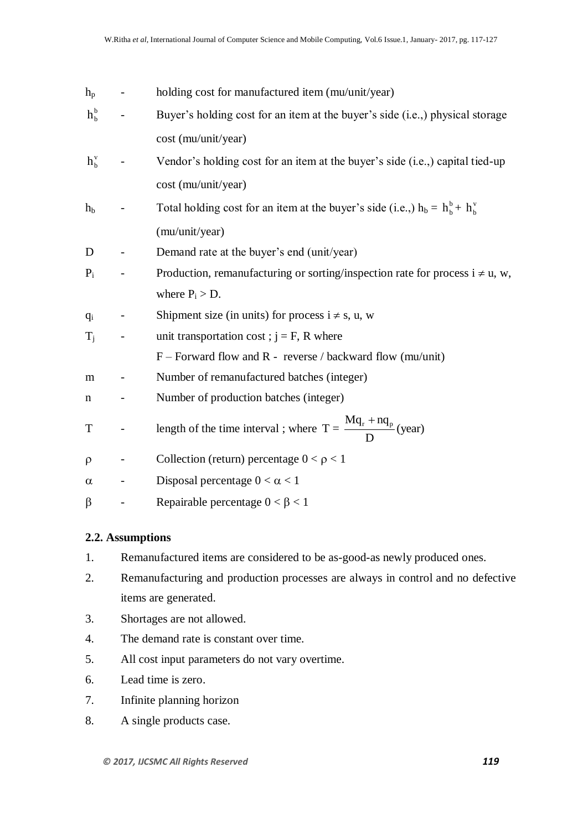| $h_{p}$     |                   | holding cost for manufactured item (mu/unit/year)                                  |
|-------------|-------------------|------------------------------------------------------------------------------------|
| $h_{b}^{b}$ |                   | Buyer's holding cost for an item at the buyer's side (i.e.,) physical storage      |
|             |                   | cost (mu/unit/year)                                                                |
| $h_h^v$     |                   | Vendor's holding cost for an item at the buyer's side (i.e.,) capital tied-up      |
|             |                   | cost (mu/unit/year)                                                                |
| $h_{\rm b}$ |                   | Total holding cost for an item at the buyer's side (i.e.,) $h_b = h_b^b + h_b^v$   |
|             |                   | (mu/unit/year)                                                                     |
| D           |                   | Demand rate at the buyer's end (unit/year)                                         |
| $P_i$       |                   | Production, remanufacturing or sorting/inspection rate for process $i \neq u$ , w, |
|             |                   | where $P_i > D$ .                                                                  |
| $q_i$       |                   | Shipment size (in units) for process $i \neq s$ , u, w                             |
| $T_i$       |                   | unit transportation cost; $j = F$ , R where                                        |
|             |                   | $F$ – Forward flow and R - reverse / backward flow (mu/unit)                       |
| m           |                   | Number of remanufactured batches (integer)                                         |
| $\mathbf n$ |                   | Number of production batches (integer)                                             |
| T           | $\qquad \qquad -$ | length of the time interval ; where $T = \frac{Mq_r + nq_p}{D}$ (year)             |
| $\rho$      |                   | Collection (return) percentage $0 < \rho < 1$                                      |
| $\alpha$    |                   | Disposal percentage $0 < \alpha < 1$                                               |
| $\beta$     |                   | Repairable percentage $0 < \beta < 1$                                              |

### **2.2. Assumptions**

- 1. Remanufactured items are considered to be as-good-as newly produced ones.
- 2. Remanufacturing and production processes are always in control and no defective items are generated.
- 3. Shortages are not allowed.
- 4. The demand rate is constant over time.
- 5. All cost input parameters do not vary overtime.
- 6. Lead time is zero.
- 7. Infinite planning horizon
- 8. A single products case.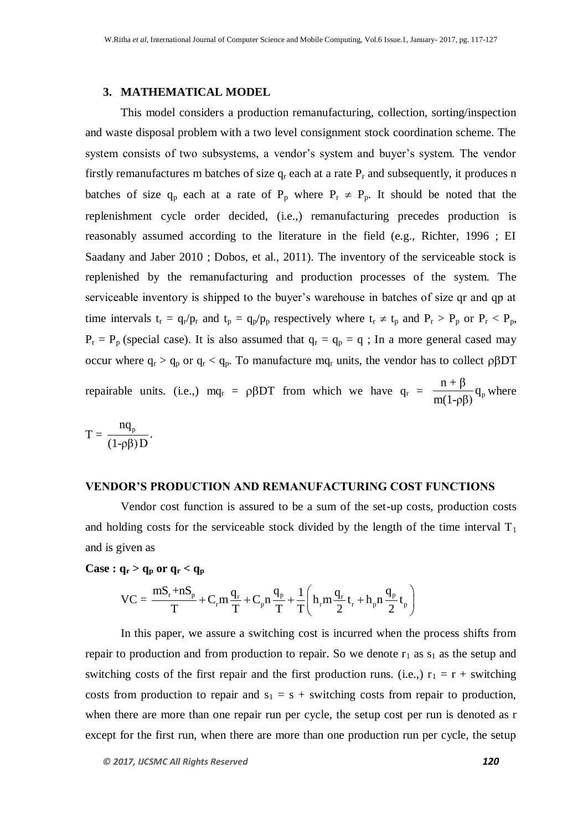### **3. MATHEMATICAL MODEL**

This model considers a production remanufacturing, collection, sorting/inspection and waste disposal problem with a two level consignment stock coordination scheme. The system consists of two subsystems, a vendor's system and buyer's system. The vendor firstly remanufactures m batches of size  $q_r$  each at a rate  $P_r$  and subsequently, it produces n batches of size  $q_p$  each at a rate of  $P_p$  where  $P_r \neq P_p$ . It should be noted that the replenishment cycle order decided, (i.e.,) remanufacturing precedes production is reasonably assumed according to the literature in the field (e.g., Richter, 1996 ; EI Saadany and Jaber 2010 ; Dobos, et al., 2011). The inventory of the serviceable stock is replenished by the remanufacturing and production processes of the system. The serviceable inventory is shipped to the buyer"s warehouse in batches of size qr and qp at time intervals  $t_r = q_r/p_r$  and  $t_p = q_p/p_p$  respectively where  $t_r \neq t_p$  and  $P_r > P_p$  or  $P_r < P_p$ ,  $P_r = P_p$  (special case). It is also assumed that  $q_r = q_p = q$ ; In a more general cased may occur where  $q_r > q_p$  or  $q_r < q_p$ . To manufacture m $q_r$  units, the vendor has to collect  $\rho \beta DT$ repairable units. (i.e.,) mq<sub>r</sub> =  $\rho \beta DT$  from which we have  $q_r = \frac{n+p}{m(1-p)} q_p$  $\frac{n+\beta}{n+\beta}$ q m(1-ρβ) where

$$
T=\frac{nq_{p}}{(1-\rho\beta)D}.
$$

#### **VENDOR'S PRODUCTION AND REMANUFACTURING COST FUNCTIONS**

Vendor cost function is assured to be a sum of the set-up costs, production costs and holding costs for the serviceable stock divided by the length of the time interval  $T_1$ and is given as

**Case :**  $q_r > q_p$  or  $q_r < q_p$ 

$$
\mathbf{q_r} > \mathbf{q_p or q_r} < \mathbf{q_p}
$$
\n
$$
\mathbf{V}\mathbf{C} = \frac{m\mathbf{S_r} + n\mathbf{S_p}}{T} + \mathbf{C_r}m\frac{\mathbf{q_r}}{T} + \mathbf{C_p}n\frac{\mathbf{q_p}}{T} + \frac{1}{T}\left(h_r m\frac{\mathbf{q_r}}{2}\mathbf{t_r} + h_p n\frac{\mathbf{q_p}}{2}\mathbf{t_p}\right)
$$

In this paper, we assure a switching cost is incurred when the process shifts from repair to production and from production to repair. So we denote  $r_1$  as  $s_1$  as the setup and switching costs of the first repair and the first production runs. (i.e.,)  $r_1 = r +$  switching costs from production to repair and  $s_1 = s +$  switching costs from repair to production, when there are more than one repair run per cycle, the setup cost per run is denoted as r except for the first run, when there are more than one production run per cycle, the setup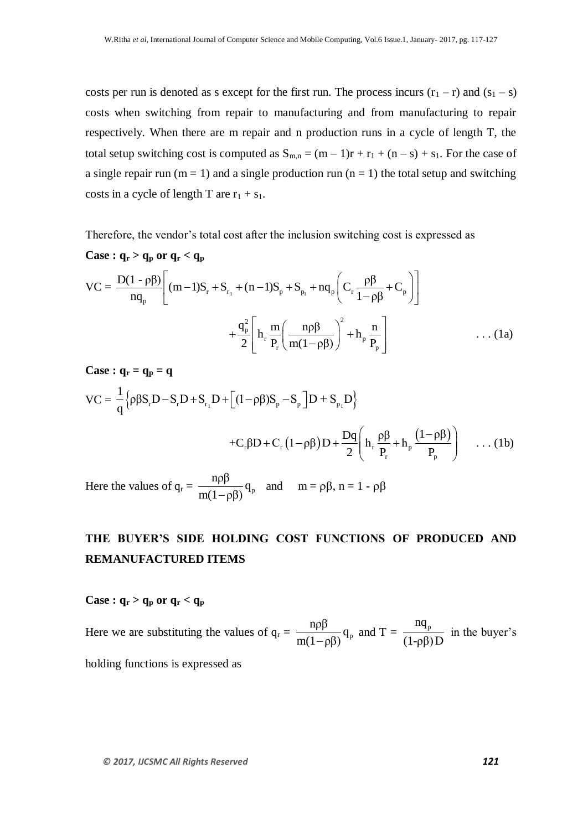costs per run is denoted as s except for the first run. The process incurs  $(r_1 - r)$  and  $(s_1 - s)$ costs when switching from repair to manufacturing and from manufacturing to repair respectively. When there are m repair and n production runs in a cycle of length T, the total setup switching cost is computed as  $S_{m,n} = (m-1)r + r_1 + (n-s) + s_1$ . For the case of a single repair run ( $m = 1$ ) and a single production run ( $n = 1$ ) the total setup and switching costs in a cycle of length T are  $r_1 + s_1$ .

Therefore, the vendor"s total cost after the inclusion switching cost is expressed as **Case :**  $q_r > q_p$  or  $q_r < q_p$ 

Case : 
$$
\mathbf{q}_r > \mathbf{q}_p
$$
 or  $\mathbf{q}_r < \mathbf{q}_p$   
\n
$$
VC = \frac{D(1 - \rho \beta)}{nq_p} \left[ (m - 1)S_r + S_{r_1} + (n - 1)S_p + S_{p_1} + nq_p \left( C_r \frac{\rho \beta}{1 - \rho \beta} + C_p \right) \right]
$$
\n
$$
+ \frac{q_p^2}{2} \left[ h_r \frac{m}{P_r} \left( \frac{n \rho \beta}{m(1 - \rho \beta)} \right)^2 + h_p \frac{n}{P_p} \right] \qquad \qquad \dots (1a)
$$

**Case :**  $q_r = q_p = q$ 

Case : 
$$
\mathbf{q}_r = \mathbf{q}_p = \mathbf{q}
$$
  
\n
$$
VC = \frac{1}{q} \left\{ \rho \beta S_r D - S_r D + S_{r_1} D + \left[ (1 - \rho \beta) S_p - S_p \right] D + S_{p_1} D \right\}
$$
\n
$$
+ C_r \beta D + C_r (1 - \rho \beta) D + \frac{Dq}{2} \left( h_r \frac{\rho \beta}{P_r} + h_p \frac{(1 - \rho \beta)}{P_p} \right) \dots (1b)
$$

Here the values of  $q_r = \frac{np}{m(1-p)} q_p$  $\frac{np\beta}{q}$  $m(1-\rho\beta)$ and  $m = \rho \beta$ ,  $n = 1 - \rho \beta$ 

## **THE BUYER'S SIDE HOLDING COST FUNCTIONS OF PRODUCED AND REMANUFACTURED ITEMS**

### **Case :**  $q_r > q_p$  or  $q_r < q_p$

Here we are substituting the values of  $q_r = \frac{np}{m(1-p)} q_p$  $\frac{np\beta}{q}$  $m(1-\rho\beta)$ and T =  $\frac{nq_p}{(1 - \Omega)^2}$ (1-ρβ) D in the buyer's

holding functions is expressed as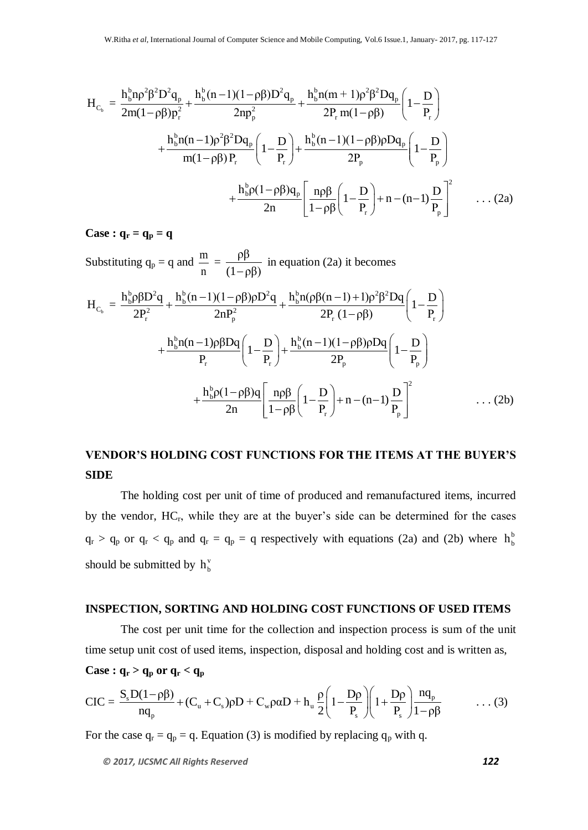$$
H_{C_b} = \frac{h_b^b n \rho^2 \beta^2 D^2 q_p}{2m(1-\rho \beta) p_r^2} + \frac{h_b^b (n-1)(1-\rho \beta) D^2 q_p}{2np_p^2} + \frac{h_b^b n(m+1) \rho^2 \beta^2 D q_p}{2P_r m(1-\rho \beta)} \left(1 - \frac{D}{P_r}\right) + \frac{h_b^b n(n-1) \rho^2 \beta^2 D q_p}{m(1-\rho \beta) P_r} \left(1 - \frac{D}{P_r}\right) + \frac{h_b^b (n-1)(1-\rho \beta) \rho D q_p}{2P_p} \left(1 - \frac{D}{P_p}\right) + \frac{h_b^b \rho (1-\rho \beta) q_p}{2n} \left[ \frac{n \rho \beta}{1-\rho \beta} \left(1 - \frac{D}{P_r}\right) + n - (n-1) \frac{D}{P_p}\right]^2 \dots (2a)
$$

**Case :**  $q_r = q_p = q$ 

Substituting  $q_p = q$  and  $\frac{m}{m}$ n = ρβ  $(1-\rho\beta)$ in equation (2a) it becomes

Substituting 
$$
q_p = q
$$
 and  $\frac{m}{n} = \frac{pp}{(1 - \rho \beta)}$  in equation (2a) it becomes  
\n
$$
H_{C_b} = \frac{h_b^b \rho \beta D^2 q}{2P_r^2} + \frac{h_b^b (n - 1)(1 - \rho \beta)\rho D^2 q}{2nP_p^2} + \frac{h_b^b n(\rho \beta (n - 1) + 1)\rho^2 \beta^2 Dq}{2P_r (1 - \rho \beta)} \left(1 - \frac{D}{P_r}\right) + \frac{h_b^b n(n - 1)\rho \beta Dq}{P_r} \left(1 - \frac{D}{P_r}\right) + \frac{h_b^b (n - 1)(1 - \rho \beta)\rho Dq}{2P_p} \left(1 - \frac{D}{P_p}\right) + \frac{h_b^b \rho (1 - \rho \beta)q}{2n} \left[\frac{n\rho \beta}{1 - \rho \beta} \left(1 - \frac{D}{P_r}\right) + n - (n - 1)\frac{D}{P_p}\right]^2 \quad \dots (2b)
$$

### **VENDOR'S HOLDING COST FUNCTIONS FOR THE ITEMS AT THE BUYER'S SIDE**

The holding cost per unit of time of produced and remanufactured items, incurred by the vendor, HC<sub>r</sub>, while they are at the buyer's side can be determined for the cases  $q_r > q_p$  or  $q_r < q_p$  and  $q_r = q_p = q$  respectively with equations (2a) and (2b) where  $h_b^b$  $h_b^b$ should be submitted by  $h_b^v$  $h_b^v$ 

### **INSPECTION, SORTING AND HOLDING COST FUNCTIONS OF USED ITEMS**

The cost per unit time for the collection and inspection process is sum of the unit time setup unit cost of used items, inspection, disposal and holding cost and is written as, **Case :**  $q_r > q_p$  or  $q_r < q_p$  $\frac{\rho}{\rho}$  or  $\mathbf{q}_r < \mathbf{q}_p$ <br>  $\frac{-\rho\beta}{2} + (C_p + C_p)\rho D + C_p \rho \alpha D + h_p \frac{\rho}{2} \left(1 - \frac{D\rho}{2}\right) \left(1 + \frac{D\rho}{2}\right) \frac{nq_p}{2}$ 

Case : 
$$
q_r > q_p
$$
 or  $q_r < q_p$   
\n
$$
CIC = \frac{S_s D(1 - \rho \beta)}{n q_p} + (C_u + C_s) \rho D + C_w \rho \alpha D + h_u \frac{\rho}{2} \left( 1 - \frac{D \rho}{P_s} \right) \left( 1 + \frac{D \rho}{P_s} \right) \frac{n q_p}{1 - \rho \beta} \dots (3)
$$

For the case  $q_r = q_p = q$ . Equation (3) is modified by replacing  $q_p$  with q.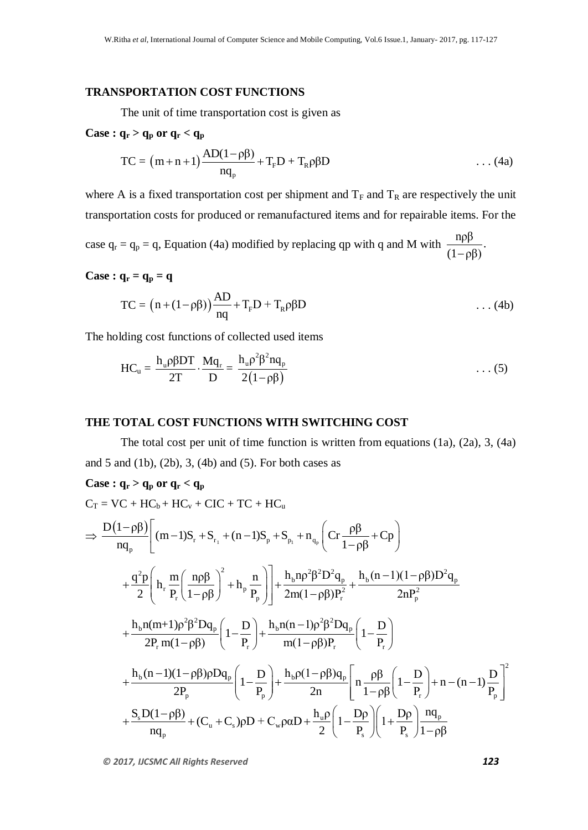### **TRANSPORTATION COST FUNCTIONS**

The unit of time transportation cost is given as

### **Case :**  $q_r > q_p$  or  $q_r < q_p$

$$
TC = (m+n+1)\frac{AD(1-\rho\beta)}{nq_p} + T_pD + T_p\rho\beta D \qquad \qquad \dots (4a)
$$

where A is a fixed transportation cost per shipment and  $T_F$  and  $T_R$  are respectively the unit transportation costs for produced or remanufactured items and for repairable items. For the

case  $q_r = q_p = q$ , Equation (4a) modified by replacing qp with q and M with  $\frac{npβ}{2}$ .  $(1-\rho\beta)$ 

**Case :**  $q_r = q_p = q$ 

$$
TC = (n + (1 - \rho \beta)) \frac{AD}{nq} + T_p D + T_p \rho \beta D \qquad \qquad \dots (4b)
$$

The holding cost functions of collected used items

$$
HC_u = \frac{h_u \rho \beta DT}{2T} \cdot \frac{Mq_r}{D} = \frac{h_u \rho^2 \beta^2 nq_p}{2(1-\rho\beta)}
$$
 ... (5)

### **THE TOTAL COST FUNCTIONS WITH SWITCHING COST**

The total cost per unit of time function is written from equations (1a), (2a), 3, (4a) and 5 and (1b), (2b), 3, (4b) and (5). For both cases as

### **Case :**  $q_r > q_p$  or  $q_r < q_p$

$$
C_T = VC + HC_b + HC_v + CIC + TC + HC_u
$$
\n
$$
\Rightarrow \frac{D(1-\rho\beta)}{nq_p} \left[ (m-1)S_r + S_{r_1} + (n-1)S_p + S_{p_1} + n_{q_p} \left( Cr \frac{\rho\beta}{1-\rho\beta} + Cp \right) \right.
$$
\n
$$
+ \frac{q^2p}{2} \left( h_r \frac{m}{P_r} \left( \frac{n\rho\beta}{1-\rho\beta} \right)^2 + h_p \frac{n}{P_p} \right) + \frac{h_b n\rho^2 \beta^2 D^2 q_p}{2m(1-\rho\beta)P_r^2} + \frac{h_b (n-1)(1-\rho\beta)D^2 q_p}{2nP_p^2}
$$
\n
$$
+ \frac{h_b n(m+1)\rho^2 \beta^2 D q_p}{2P_r m(1-\rho\beta)} \left( 1 - \frac{D}{P_r} \right) + \frac{h_b n(n-1)\rho^2 \beta^2 D q_p}{m(1-\rho\beta)P_r} \left( 1 - \frac{D}{P_r} \right)
$$
\n
$$
+ \frac{h_b (n-1)(1-\rho\beta)\rho D q_p}{2P_p} \left( 1 - \frac{D}{P_p} \right) + \frac{h_b \rho (1-\rho\beta) q_p}{2n} \left[ n \frac{\rho\beta}{1-\rho\beta} \left( 1 - \frac{D}{P_r} \right) + n - (n-1) \frac{D}{P_p} \right]^2
$$
\n
$$
+ \frac{S_s D(1-\rho\beta)}{nq_p} + (C_u + C_s)\rho D + C_w \rho \alpha D + \frac{h_u \rho}{2} \left( 1 - \frac{D\rho}{P_s} \right) \left( 1 + \frac{D\rho}{P_s} \right) \frac{nq_p}{1-\rho\beta}
$$

*© 2017, IJCSMC All Rights Reserved 123*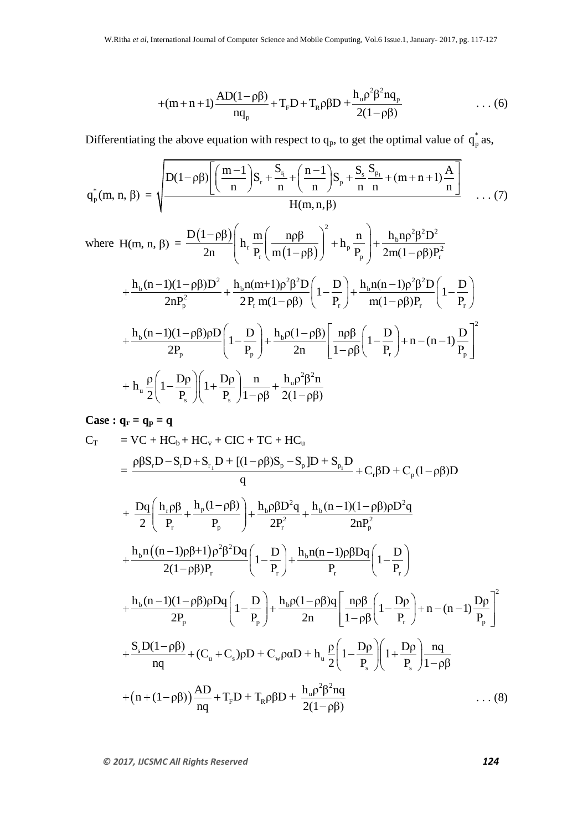$$
+(m+n+1)\frac{AD(1-\rho\beta)}{nq_p}+T_pD+T_p\rho\beta D+\frac{h_u\rho^2\beta^2nq_p}{2(1-\rho\beta)}
$$
 ... (6)

Differentiating the above equation with respect to  $q_p$ , to get the optimal value of  $q_e^*$ 

Differentiating the above equation with respect to 
$$
q_p
$$
, to get the optimal value of  $q_p^*$  as,  

$$
q_p^*(m, n, \beta) = \sqrt{\frac{D(1-\rho\beta)\left[\left(\frac{m-1}{n}\right)S_r + \frac{S_r}{n} + \left(\frac{n-1}{n}\right)S_p + \frac{S_s}{n}\frac{S_p}{n} + (m+n+1)\frac{A}{n}\right]}{H(m, n, \beta)}} \dots (7)
$$

$$
H(m, n, \beta)
$$
  
\nwhere  $H(m, n, \beta) = \frac{D(1-\rho\beta)}{2n} \left( h_r \frac{m}{P_r} \left( \frac{n\rho\beta}{m(1-\rho\beta)} \right)^2 + h_p \frac{n}{P_p} \right) + \frac{h_b n\rho^2 \beta^2 D^2}{2m(1-\rho\beta)P_r^2}$   
\n
$$
+ \frac{h_b (n-1)(1-\rho\beta)D^2}{2nP_p^2} + \frac{h_b n(m+1)\rho^2 \beta^2 D}{2P_r m(1-\rho\beta)} \left( 1 - \frac{D}{P_r} \right) + \frac{h_b n(n-1)\rho^2 \beta^2 D}{m(1-\rho\beta)P_r} \left( 1 - \frac{D}{P_r} \right)
$$
\n
$$
+ \frac{h_b (n-1)(1-\rho\beta)\rho D}{2P_p} \left( 1 - \frac{D}{P_p} \right) + \frac{h_b \rho(1-\rho\beta)}{2n} \left[ \frac{n\rho\beta}{1-\rho\beta} \left( 1 - \frac{D}{P_r} \right) + n - (n-1) \frac{D}{P_p} \right]^2
$$
\n
$$
+ h_u \frac{\rho}{2} \left( 1 - \frac{D\rho}{P_s} \right) \left( 1 + \frac{D\rho}{P_s} \right) \frac{n}{1-\rho\beta} + \frac{h_u \rho^2 \beta^2 n}{2(1-\rho\beta)}
$$

**Case :**  $q_r = q_p = q$ 

+
$$
(m+n+1)
$$
 $\frac{\Delta D(1-\rho\beta)}{mq_p} + T_pD + T_R\rho\beta D + \frac{h_0\rho^2\beta^2nq_p}{2(1-\rho\beta)}$  ... (6)  
\nDifferentiating the above equation with respect to  $q_p$ , to get the optimal value of  $q_p^*$  as,  
\n
$$
q_p^*(m, n, \beta) = \sqrt{\frac{D(1-\rho\beta)\left[\frac{m-1}{n}\right]S_r + \frac{S_n}{n} + \frac{(n-1)}{n}\right]S_r + \frac{S_n S_n}{n} + (m+n+1)\frac{A_1}{n}}{H(m,n,\beta)}}
$$
 ... (7)  
\nwhere  $H(m, n, \beta) = \frac{D(1-\rho\beta)\left[\frac{m}{n} \frac{m}{p_r} \left(\frac{np\beta}{m(1-\rho\beta)}\right)^2 + h_p \frac{n}{p_r}\right] + \frac{h_0np^2\beta^2D^2}{2m(1-\rho\beta)P_r^2}$   
\n
$$
+ \frac{h_0(n-1)(1-\rho\beta)D^2}{2nP_p^2} + \frac{h_0n(m+1)p^2\beta^2D}{2P_r m(1-\rho\beta)} \left(1-\frac{D}{P_r}\right) + \frac{h_0n(n-1)p^2\beta^2D}{m(1-\rho\beta)P_r^2} \left(1-\frac{D}{P_r}\right)
$$
\n
$$
+ \frac{h_0(n-1)(1-\rho\beta)DD}{2P_p} \left(1-\frac{D}{P_p}\right) + \frac{h_0\rho(1-\rho\beta)}{2n} \left[\frac{n\beta\beta}{1-\rho\beta} \left(1-\frac{D}{P_r}\right) + n - (n-1)\frac{D}{P_p}\right]^2
$$
  
\n
$$
+ h_n \frac{\rho}{2} \left(1-\frac{Dp}{P_s}\right) \left(1+\frac{Dp}{P_s}\right) \frac{n}{1-\rho\beta} + \frac{h_0\rho^2\beta^2n}{2(1-\rho\beta)}
$$
  
\nCase :  $q_r = q_p = q$   
\n
$$
C_T = VC + HC_0 + HC_0 + CC + TC + HC_0
$$
  
\n
$$
= \frac{\rho\beta S, D-S, D+S, D+[(1-\rho\beta)S_p-S, D+S, D-S, D-S, D-S, D-S,
$$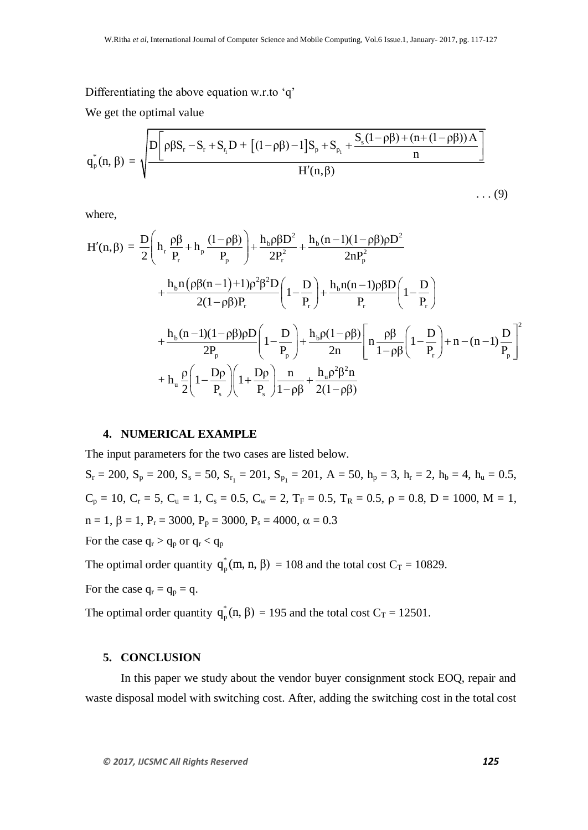Differentiating the above equation w.r.to 'q'

We get the optimal value

| \n $W_{\text{e}}$ \n      | \n $W_{\text{e}}$ \n |
|---------------------------|----------------------|
| \n $W_{\text{e}}$ \n      | \n $W_{\text{e}}$ \n |
| \n $W_{\text{e}}$ \n      |                      |
| \n $W_{\text{e}}$ \n      |                      |
| \n $W_{\text{e}}$ \n      |                      |
| \n $W_{\text{e}}$ \n      |                      |
| \n $W_{\text{e}}$ \n      |                      |
| \n $W_{\text{e}}$ \n      |                      |
| \n $W_{\text{e}}$ \n      |                      |
| \n $W_{\text{e}}$ \n      |                      |
| \n $W_{\text{e}}$ \n      |                      |
| \n $W_{\text{e}}$ \n      |                      |
| \n $W_{\text{e}}$ \n      |                      |
| \n $W_{\text{e}}$ \n      |                      |
| \n $W_{\text{e}}$ \n      |                      |
| \n $W_{\text{e}}$ \n      |                      |
| \n $W_{\text{e}}$ \n      |                      |
| \n $W_{\text{e}}$ \n      |                      |
| \n $W_{\text{e}}$ \n      |                      |
| \n $W_{\text{e}}$ \n      |                      |
| \n $W_{\text{e}}$ \n      |                      |
| \n $W_{\text{e}}$ \n      |                      |
| \n $W_{\text{e}}$ \n      |                      |
| \n $W_{\text{e}}$ \n </td |                      |

where,

where,  
\n
$$
H'(n, \beta) = \frac{D}{2} \left( h_r \frac{\rho \beta}{P_r} + h_p \frac{(1-\rho \beta)}{P_p} \right) + \frac{h_b \rho \beta D^2}{2P_r^2} + \frac{h_b (n-1)(1-\rho \beta)\rho D^2}{2nP_p^2} + \frac{h_b n(\rho \beta (n-1)+1)\rho^2 \beta^2 D}{2(1-\rho \beta)P_r} \left( 1 - \frac{D}{P_r} \right) + \frac{h_b n(n-1)\rho \beta D}{P_r} \left( 1 - \frac{D}{P_r} \right) + \frac{h_b (n-1)(1-\rho \beta)\rho D}{2P_p} \left( 1 - \frac{D}{P_p} \right) + \frac{h_b \rho (1-\rho \beta)}{2n} \left[ n \frac{\rho \beta}{1-\rho \beta} \left( 1 - \frac{D}{P_r} \right) + n - (n-1) \frac{D}{P_p} \right]^2 + h_b \frac{\rho}{2} \left( 1 - \frac{D\rho}{P_s} \right) \left( 1 + \frac{D\rho}{P_s} \right) \frac{n}{1-\rho \beta} + \frac{h_u \rho^2 \beta^2 n}{2(1-\rho \beta)}
$$

#### **4. NUMERICAL EXAMPLE**

The input parameters for the two cases are listed below.  $S_r = 200$ ,  $S_p = 200$ ,  $S_s = 50$ ,  $S_{r_1} = 201$ ,  $S_{p_1} = 201$ ,  $A = 50$ ,  $h_p = 3$ ,  $h_r = 2$ ,  $h_b = 4$ ,  $h_u = 0.5$ ,  $C_p = 10$ ,  $C_r = 5$ ,  $C_u = 1$ ,  $C_s = 0.5$ ,  $C_w = 2$ ,  $T_F = 0.5$ ,  $T_R = 0.5$ ,  $\rho = 0.8$ ,  $D = 1000$ ,  $M = 1$ ,  $n = 1$ ,  $\beta = 1$ ,  $P_r = 3000$ ,  $P_p = 3000$ ,  $P_s = 4000$ ,  $\alpha = 0.3$ For the case  $q_r > q_p$  or  $q_r < q_p$ 

The optimal order quantity  $q_{n}^*$  $q_{p}^{*}(m, n, \beta) = 108$  and the total cost  $C_T = 10829$ .

For the case 
$$
q_r = q_p = q
$$
.

The optimal order quantity  $q_{\text{r}}^*$  $q_{p}^{*}(n, \beta) = 195$  and the total cost  $C_T = 12501$ .

### **5. CONCLUSION**

In this paper we study about the vendor buyer consignment stock EOQ, repair and waste disposal model with switching cost. After, adding the switching cost in the total cost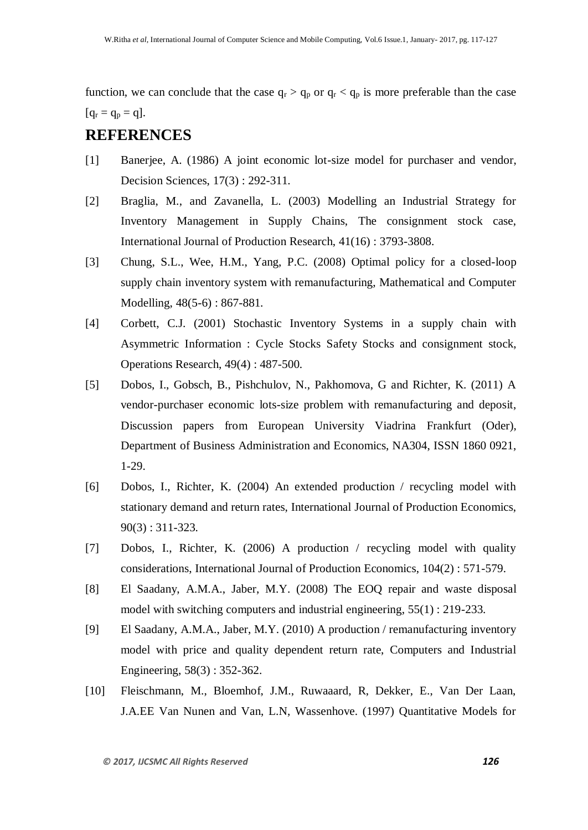function, we can conclude that the case  $q_r > q_p$  or  $q_r < q_p$  is more preferable than the case  $[q_{\rm r} = q_{\rm p} = q].$ 

# **REFERENCES**

- [1] Banerjee, A. (1986) A joint economic lot-size model for purchaser and vendor, Decision Sciences, 17(3) : 292-311.
- [2] Braglia, M., and Zavanella, L. (2003) Modelling an Industrial Strategy for Inventory Management in Supply Chains, The consignment stock case, International Journal of Production Research, 41(16) : 3793-3808.
- [3] Chung, S.L., Wee, H.M., Yang, P.C. (2008) Optimal policy for a closed-loop supply chain inventory system with remanufacturing, Mathematical and Computer Modelling, 48(5-6) : 867-881.
- [4] Corbett, C.J. (2001) Stochastic Inventory Systems in a supply chain with Asymmetric Information : Cycle Stocks Safety Stocks and consignment stock, Operations Research, 49(4) : 487-500.
- [5] Dobos, I., Gobsch, B., Pishchulov, N., Pakhomova, G and Richter, K. (2011) A vendor-purchaser economic lots-size problem with remanufacturing and deposit, Discussion papers from European University Viadrina Frankfurt (Oder), Department of Business Administration and Economics, NA304, ISSN 1860 0921, 1-29.
- [6] Dobos, I., Richter, K. (2004) An extended production / recycling model with stationary demand and return rates, International Journal of Production Economics, 90(3) : 311-323.
- [7] Dobos, I., Richter, K. (2006) A production / recycling model with quality considerations, International Journal of Production Economics, 104(2) : 571-579.
- [8] El Saadany, A.M.A., Jaber, M.Y. (2008) The EOQ repair and waste disposal model with switching computers and industrial engineering, 55(1) : 219-233.
- [9] El Saadany, A.M.A., Jaber, M.Y. (2010) A production / remanufacturing inventory model with price and quality dependent return rate, Computers and Industrial Engineering, 58(3) : 352-362.
- [10] Fleischmann, M., Bloemhof, J.M., Ruwaaard, R, Dekker, E., Van Der Laan, J.A.EE Van Nunen and Van, L.N, Wassenhove. (1997) Quantitative Models for